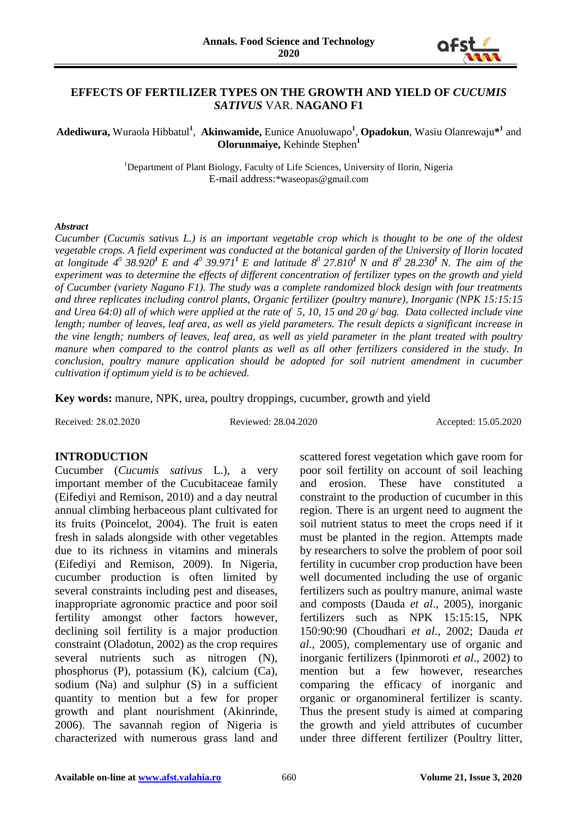

## **EFFECTS OF FERTILIZER TYPES ON THE GROWTH AND YIELD OF** *CUCUMIS SATIVUS* VAR. **NAGANO F1**

Adediwura, Wuraola Hibbatul<sup>1</sup>, Akinwamide, Eunice Anuoluwapo<sup>1</sup>, Opadokun, Wasiu Olanrewaju<sup>\*1</sup> and **Olorunmaiye,** Kehinde Stephen**<sup>1</sup>**

> <sup>1</sup>Department of Plant Biology, Faculty of Life Sciences, University of Ilorin, Nigeria E-mail address:\*waseopas@gmail.com

#### *Abstract*

*Cucumber (Cucumis sativus L.) is an important vegetable crop which is thought to be one of the oldest vegetable crops. A field experiment was conducted at the botanical garden of the University of Ilorin located*  at longitude  $4^0$  38.920<sup>1</sup> E and  $4^0$  39.971<sup>1</sup> E and latitude  $8^0$  27.810<sup>1</sup> N and  $8^0$  28.230<sup>1</sup> N. The aim of the *experiment was to determine the effects of different concentration of fertilizer types on the growth and yield of Cucumber (variety Nagano F1). The study was a complete randomized block design with four treatments and three replicates including control plants, Organic fertilizer (poultry manure), Inorganic (NPK 15:15:15 and Urea 64:0) all of which were applied at the rate of 5, 10, 15 and 20 g/ bag. Data collected include vine length; number of leaves, leaf area, as well as yield parameters. The result depicts a significant increase in the vine length; numbers of leaves, leaf area, as well as yield parameter in the plant treated with poultry manure when compared to the control plants as well as all other fertilizers considered in the study. In conclusion, poultry manure application should be adopted for soil nutrient amendment in cucumber cultivation if optimum yield is to be achieved.*

**Key words:** manure, NPK, urea, poultry droppings, cucumber, growth and yield

Received: 28.02.2020 Reviewed: 28.04.2020 Accepted: 15.05.2020

### **INTRODUCTION**

Cucumber (*Cucumis sativus* L.), a very important member of the Cucubitaceae family (Eifediyi and Remison, 2010) and a day neutral annual climbing herbaceous plant cultivated for its fruits (Poincelot, 2004). The fruit is eaten fresh in salads alongside with other vegetables due to its richness in vitamins and minerals (Eifediyi and Remison, 2009). In Nigeria, cucumber production is often limited by several constraints including pest and diseases, inappropriate agronomic practice and poor soil fertility amongst other factors however, declining soil fertility is a major production constraint (Oladotun, 2002) as the crop requires several nutrients such as nitrogen (N), phosphorus (P), potassium (K), calcium (Ca), sodium (Na) and sulphur (S) in a sufficient quantity to mention but a few for proper growth and plant nourishment (Akinrinde, 2006). The savannah region of Nigeria is characterized with numerous grass land and

scattered forest vegetation which gave room for poor soil fertility on account of soil leaching and erosion. These have constituted a constraint to the production of cucumber in this region. There is an urgent need to augment the soil nutrient status to meet the crops need if it must be planted in the region. Attempts made by researchers to solve the problem of poor soil fertility in cucumber crop production have been well documented including the use of organic fertilizers such as poultry manure, animal waste and composts (Dauda *et al*., 2005), inorganic fertilizers such as NPK 15:15:15, NPK 150:90:90 (Choudhari *et al*., 2002; Dauda *et al*., 2005), complementary use of organic and inorganic fertilizers (Ipinmoroti *et al*., 2002) to mention but a few however, researches comparing the efficacy of inorganic and organic or organomineral fertilizer is scanty. Thus the present study is aimed at comparing the growth and yield attributes of cucumber under three different fertilizer (Poultry litter,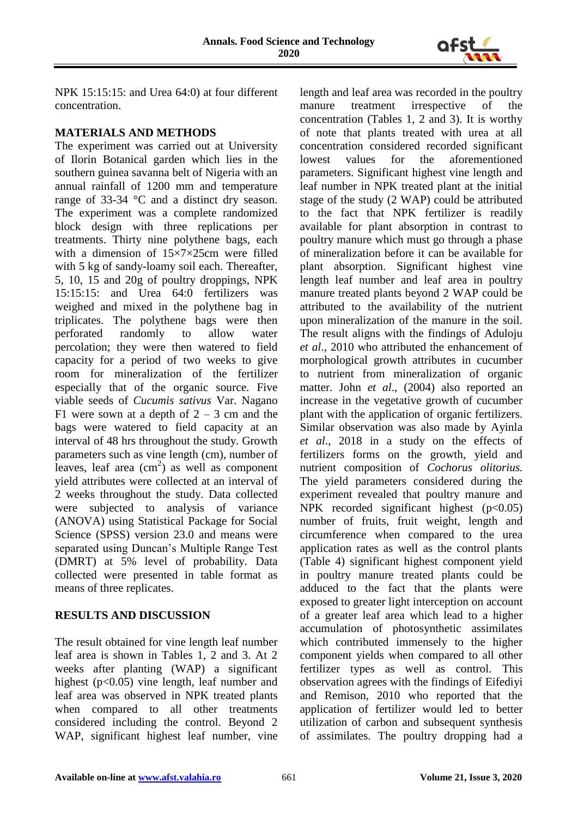

NPK 15:15:15: and Urea 64:0) at four different concentration.

# **MATERIALS AND METHODS**

The experiment was carried out at University of Ilorin Botanical garden which lies in the southern guinea savanna belt of Nigeria with an annual rainfall of 1200 mm and temperature range of 33-34 °C and a distinct dry season. The experiment was a complete randomized block design with three replications per treatments. Thirty nine polythene bags, each with a dimension of  $15\times7\times25$ cm were filled with 5 kg of sandy-loamy soil each. Thereafter, 5, 10, 15 and 20g of poultry droppings, NPK 15:15:15: and Urea 64:0 fertilizers was weighed and mixed in the polythene bag in triplicates. The polythene bags were then perforated randomly to allow water percolation; they were then watered to field capacity for a period of two weeks to give room for mineralization of the fertilizer especially that of the organic source. Five viable seeds of *Cucumis sativus* Var. Nagano F1 were sown at a depth of  $2 - 3$  cm and the bags were watered to field capacity at an interval of 48 hrs throughout the study. Growth parameters such as vine length (cm), number of leaves, leaf area  $(cm<sup>2</sup>)$  as well as component yield attributes were collected at an interval of 2 weeks throughout the study. Data collected were subjected to analysis of variance (ANOVA) using Statistical Package for Social Science (SPSS) version 23.0 and means were separated using Duncan's Multiple Range Test (DMRT) at 5% level of probability. Data collected were presented in table format as means of three replicates.

# **RESULTS AND DISCUSSION**

The result obtained for vine length leaf number leaf area is shown in Tables 1, 2 and 3. At 2 weeks after planting (WAP) a significant highest (p<0.05) vine length, leaf number and leaf area was observed in NPK treated plants when compared to all other treatments considered including the control. Beyond 2 WAP, significant highest leaf number, vine length and leaf area was recorded in the poultry manure treatment irrespective of the concentration (Tables 1, 2 and 3). It is worthy of note that plants treated with urea at all concentration considered recorded significant lowest values for the aforementioned parameters. Significant highest vine length and leaf number in NPK treated plant at the initial stage of the study (2 WAP) could be attributed to the fact that NPK fertilizer is readily available for plant absorption in contrast to poultry manure which must go through a phase of mineralization before it can be available for plant absorption. Significant highest vine length leaf number and leaf area in poultry manure treated plants beyond 2 WAP could be attributed to the availability of the nutrient upon mineralization of the manure in the soil. The result aligns with the findings of Aduloju *et al*., 2010 who attributed the enhancement of morphological growth attributes in cucumber to nutrient from mineralization of organic matter. John *et al*., (2004) also reported an increase in the vegetative growth of cucumber plant with the application of organic fertilizers. Similar observation was also made by Ayinla *et al*., 2018 in a study on the effects of fertilizers forms on the growth, yield and nutrient composition of *Cochorus olitorius.* The yield parameters considered during the experiment revealed that poultry manure and NPK recorded significant highest  $(p<0.05)$ number of fruits, fruit weight, length and circumference when compared to the urea application rates as well as the control plants (Table 4) significant highest component yield in poultry manure treated plants could be adduced to the fact that the plants were exposed to greater light interception on account of a greater leaf area which lead to a higher accumulation of photosynthetic assimilates which contributed immensely to the higher component yields when compared to all other fertilizer types as well as control. This observation agrees with the findings of Eifediyi and Remison, 2010 who reported that the application of fertilizer would led to better utilization of carbon and subsequent synthesis of assimilates. The poultry dropping had a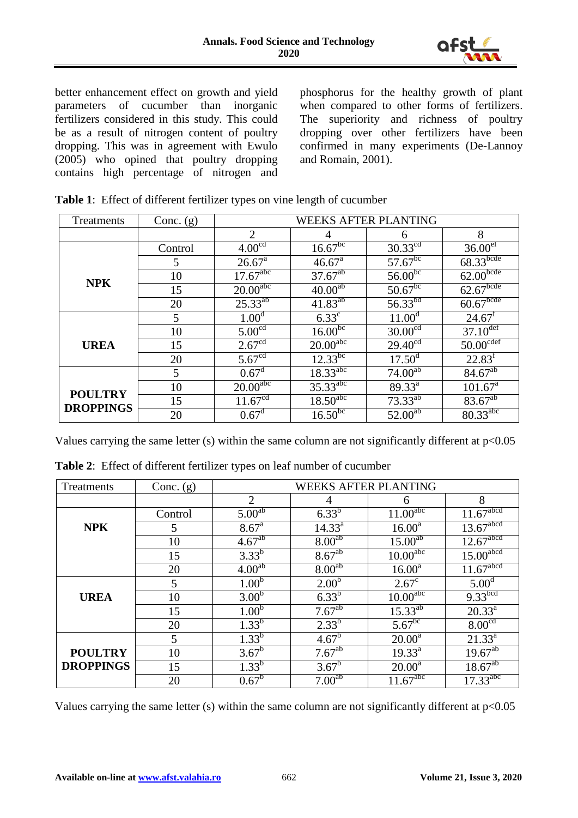

better enhancement effect on growth and yield parameters of cucumber than inorganic fertilizers considered in this study. This could be as a result of nitrogen content of poultry dropping. This was in agreement with Ewulo (2005) who opined that poultry dropping contains high percentage of nitrogen and

phosphorus for the healthy growth of plant when compared to other forms of fertilizers. The superiority and richness of poultry dropping over other fertilizers have been confirmed in many experiments (De-Lannoy and Romain, 2001).

| Treatments                         | Conc. $(g)$ | <b>WEEKS AFTER PLANTING</b> |                          |                                    |                         |
|------------------------------------|-------------|-----------------------------|--------------------------|------------------------------------|-------------------------|
|                                    |             | 2                           | 4                        | 6                                  | 8                       |
|                                    | Control     | 4.00 <sup>cd</sup>          | $16.67^{b\overline{c}}$  | $30.33^{\text{cd}}$                | 36.00 <sup>ef</sup>     |
|                                    | 5           | $26.67^{\text{a}}$          | $46.67^{\text{a}}$       | $57.67^{bc}$                       | 68.33 <sup>bcde</sup>   |
| <b>NPK</b>                         | 10          | $17.67$ <sup>abc</sup>      | $37.67^{ab}$             | $56.00^{bc}$                       | 62.00 <sup>bcde</sup>   |
|                                    | 15          | $20.00$ <sup>abc</sup>      | $40.00^{a}$              | $50.67^{b\overline{c}}$            | $62.67$ <sub>bcde</sub> |
|                                    | 20          | $25.33^{ab}$                | $41.83^{ab}$             | $56.33^{bd}$                       | 60.67 <sup>bcde</sup>   |
|                                    | 5           | 1.00 <sup>d</sup>           | $6.33^{\circ}$           | $11.00^d$                          | $24.67^t$               |
|                                    | 10          | 5.00 <sup>cd</sup>          | $16.00^{bc}$             | 30.00 <sup>cd</sup>                | $37.10$ <sup>def</sup>  |
| <b>UREA</b>                        | 15          | 2.67 <sup>cd</sup>          | $20.00^{\overline{abc}}$ | $29.40^{cd}$                       | $50.00$ <sup>cdef</sup> |
|                                    | 20          | 5.67 <sup>cd</sup>          | $12.33^{b c}$            | $17.50^{\rm d}$                    | $22.83^{f}$             |
|                                    | 5           | $0.67^{\rm d}$              | $18.33^{\text{abc}}$     | $74.00^{ab}$                       | $84.67^{ab}$            |
|                                    | 10          | $20.00$ <sup>abc</sup>      | $35.33$ <sup>abc</sup>   | $89.33^{a}$                        | $101.67^{\text{a}}$     |
| <b>POULTRY</b><br><b>DROPPINGS</b> | 15          | 11.67 <sup>cd</sup>         | 18.50 <sup>abc</sup>     | $73.33^{ab}$                       | $83.67^{a}$             |
|                                    | 20          | $0.67^{\rm d}$              | 16.50 <sup>bc</sup>      | $52.00^{\overline{a}\overline{b}}$ | $80.33^{\text{abc}}$    |

**Table 1**: Effect of different fertilizer types on vine length of cucumber

Values carrying the same letter (s) within the same column are not significantly different at p<0.05

| Treatments       | Conc. $(g)$ | <b>WEEKS AFTER PLANTING</b> |                    |                        |                         |
|------------------|-------------|-----------------------------|--------------------|------------------------|-------------------------|
|                  |             | $\overline{2}$              | 4                  | 6                      | 8                       |
|                  | Control     | 5.00 <sup>ab</sup>          | $6.33^{b}$         | $11.00$ <sup>abc</sup> | $11.67$ <sup>abcd</sup> |
| <b>NPK</b>       | 5           | 8.67 <sup>a</sup>           | $14.33^{a}$        | $16.00^a$              | $13.67$ <sup>abcd</sup> |
|                  | 10          | 4.67 <sup>ab</sup>          | 8.00 <sup>ab</sup> | $15.00^{ab}$           | $12.67$ <sup>abcd</sup> |
|                  | 15          | $3.33^{b}$                  | $8.67^{ab}$        | 10.00 <sup>abc</sup>   | $15.00$ <sup>abcd</sup> |
|                  | 20          | 4.00 <sup>ab</sup>          | 8.00 <sup>ab</sup> | $16.00^a$              | $11.67$ <sup>abcd</sup> |
|                  | 5           | 1.00 <sup>b</sup>           | 2.00 <sup>b</sup>  | $2.67^{\circ}$         | 5.00 <sup>d</sup>       |
| <b>UREA</b>      | 10          | 3.00 <sup>b</sup>           | $6.33^{b}$         | 10.00 <sup>abc</sup>   | $9.33$ bcd              |
|                  | 15          | 1.00 <sup>b</sup>           | 7.67 <sup>ab</sup> | $15.33^{ab}$           | $20.33^a$               |
|                  | 20          | $1.33^{b}$                  | $2.33^{b}$         | $5.67^{bc}$            | 8.00 <sup>cd</sup>      |
|                  | 5           | $1.33^{b}$                  | $4.67^{\rm b}$     | $20.00^a$              | $21.33^{a}$             |
| <b>POULTRY</b>   | 10          | $3.67^b$                    | $7.67^{ab}$        | $19.33^{a}$            | $19.67^{ab}$            |
| <b>DROPPINGS</b> | 15          | $1.33^{b}$                  | $3.67^b$           | $20.00^a$              | $18.67^{ab}$            |
|                  | 20          | $0.67^b$                    | 7.00 <sup>ab</sup> | $11.67$ <sup>abc</sup> | 17.33 <sup>abc</sup>    |

**Table 2**: Effect of different fertilizer types on leaf number of cucumber

Values carrying the same letter (s) within the same column are not significantly different at p<0.05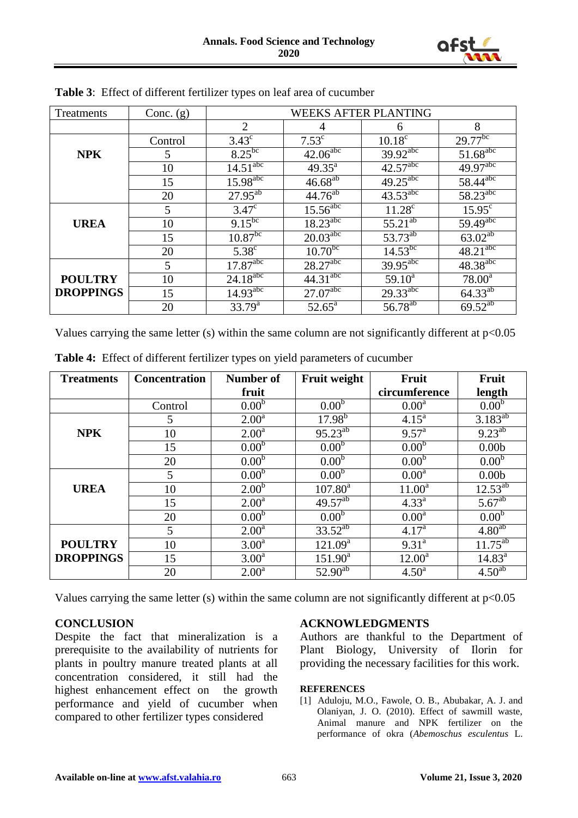

| Treatments       | Conc. $(g)$ | <b>WEEKS AFTER PLANTING</b> |                          |                          |                         |  |
|------------------|-------------|-----------------------------|--------------------------|--------------------------|-------------------------|--|
|                  |             | $\mathcal{D}_{\mathcal{L}}$ |                          | 6                        | 8                       |  |
|                  | Control     | $3.43^{\circ}$              | $7.53^{\circ}$           | $10.18^{\circ}$          | $29.77^{bc}$            |  |
| <b>NPK</b>       | 5           | $8.25^{6c}$                 | $42.06^{\text{abc}}$     | $39.92$ <sup>abc</sup>   | $51.68$ <sup>abc</sup>  |  |
|                  | 10          | $14.5\overline{1^{abc}}$    | $49.35^{\text{a}}$       | $42.57$ <sup>abc</sup>   | $49.97$ <sup>abc</sup>  |  |
|                  | 15          | $15.98^{\text{abc}}$        | $46.68^{ab}$             | $49.25$ <sup>abc</sup>   | $58.44$ <sup>abc</sup>  |  |
|                  | 20          | $27.95^{ab}$                | $44.76^{ab}$             | $43.53^{\overline{abc}}$ | $58.23$ <sup>abc</sup>  |  |
|                  | 5           | $3.47^{\circ}$              | $15.56$ <sup>abc</sup>   | $11.28^{\circ}$          | $15.95^{\circ}$         |  |
| <b>UREA</b>      | 10          | $9.15^{b}$                  | $18.23^{\text{abc}}$     | $55.21^{ab}$             | $59.49$ <sup>abc</sup>  |  |
|                  | 15          | $10.87^{bc}$                | $20.03^{\text{abc}}$     | 53.73 <sup>ab</sup>      | $63.02^{\overline{ab}}$ |  |
|                  | 20          | $5.38^{\circ}$              | $10.70^{b\bar{c}}$       | $14.53^{bc}$             | $48.21$ <sup>abc</sup>  |  |
|                  | 5           | $17.87^{\text{abc}}$        | $28.27$ <sup>abc</sup>   | $39.95$ <sup>abc</sup>   | $48.38^{\text{abc}}$    |  |
| <b>POULTRY</b>   | 10          | $24.18^{abc}$               | $44.31^{\overline{abc}}$ | $59.10^a$                | $78.00^{\rm a}$         |  |
| <b>DROPPINGS</b> | 15          | $14.93^{\text{abc}}$        | $27.07$ <sup>abc</sup>   | 29.33 <sup>abc</sup>     | $64.33^{\overline{ab}}$ |  |
|                  | 20          | $33.79^{\rm a}$             | $52.65^{\text{a}}$       | 56.78 <sup>ab</sup>      | $69.52^{ab}$            |  |

Values carrying the same letter (s) within the same column are not significantly different at  $p<0.05$ 

| <b>Treatments</b> | <b>Concentration</b> | <b>Number of</b>  | <b>Fruit weight</b> | Fruit             | Fruit              |
|-------------------|----------------------|-------------------|---------------------|-------------------|--------------------|
|                   |                      | fruit             |                     | circumference     | length             |
|                   | Control              | 0.00 <sup>b</sup> | 0.00 <sup>b</sup>   | 0.00 <sup>a</sup> | 0.00 <sup>b</sup>  |
|                   | 5                    | 2.00 <sup>a</sup> | $17.98^{b}$         | $4.15^{\rm a}$    | $3.183^{ab}$       |
| <b>NPK</b>        | 10                   | 2.00 <sup>a</sup> | $95.23^{ab}$        | 9.57 <sup>a</sup> | $9.23^{ab}$        |
|                   | 15                   | 0.00 <sup>b</sup> | 0.00 <sup>b</sup>   | 0.00 <sup>b</sup> | 0.00 <sub>b</sub>  |
|                   | 20                   | 0.00 <sup>b</sup> | 0.00 <sup>b</sup>   | 0.00 <sup>b</sup> | 0.00 <sup>b</sup>  |
|                   | 5                    | 0.00 <sup>b</sup> | 0.00 <sup>b</sup>   | 0.00 <sup>a</sup> | 0.00 <sub>b</sub>  |
| <b>UREA</b>       | 10                   | 2.00 <sup>b</sup> | $107.80^{\text{a}}$ | $11.00^a$         | $12.53^{ab}$       |
|                   | 15                   | 2.00 <sup>a</sup> | $49.57^{ab}$        | $4.33^{a}$        | $5.67^{ab}$        |
|                   | 20                   | 0.00 <sup>b</sup> | 0.00 <sup>b</sup>   | 0.00 <sup>a</sup> | 0.00 <sup>b</sup>  |
|                   | 5                    | 2.00 <sup>a</sup> | $33.52^{ab}$        | 4.17 <sup>a</sup> | 4.80 <sup>ab</sup> |
| <b>POULTRY</b>    | 10                   | 3.00 <sup>a</sup> | $121.09^a$          | $9.31^{a}$        | $11.75^{ab}$       |
| <b>DROPPINGS</b>  | 15                   | 3.00 <sup>a</sup> | $151.90^a$          | $12.00^a$         | $14.83^a$          |
|                   | 20                   | 2.00 <sup>a</sup> | $52.90^{ab}$        | $4.50^{\rm a}$    | $4.50^{ab}$        |

**Table 4:** Effect of different fertilizer types on yield parameters of cucumber

Values carrying the same letter (s) within the same column are not significantly different at  $p<0.05$ 

# **CONCLUSION**

Despite the fact that mineralization is a prerequisite to the availability of nutrients for plants in poultry manure treated plants at all concentration considered, it still had the highest enhancement effect on the growth performance and yield of cucumber when compared to other fertilizer types considered

### **ACKNOWLEDGMENTS**

Authors are thankful to the Department of Plant Biology, University of Ilorin for providing the necessary facilities for this work.

### **REFERENCES**

[1] Aduloju, M.O., Fawole, O. B., Abubakar, A. J. and Olaniyan, J. O. (2010). Effect of sawmill waste, Animal manure and NPK fertilizer on the performance of okra (*Abemoschus esculentus* L.